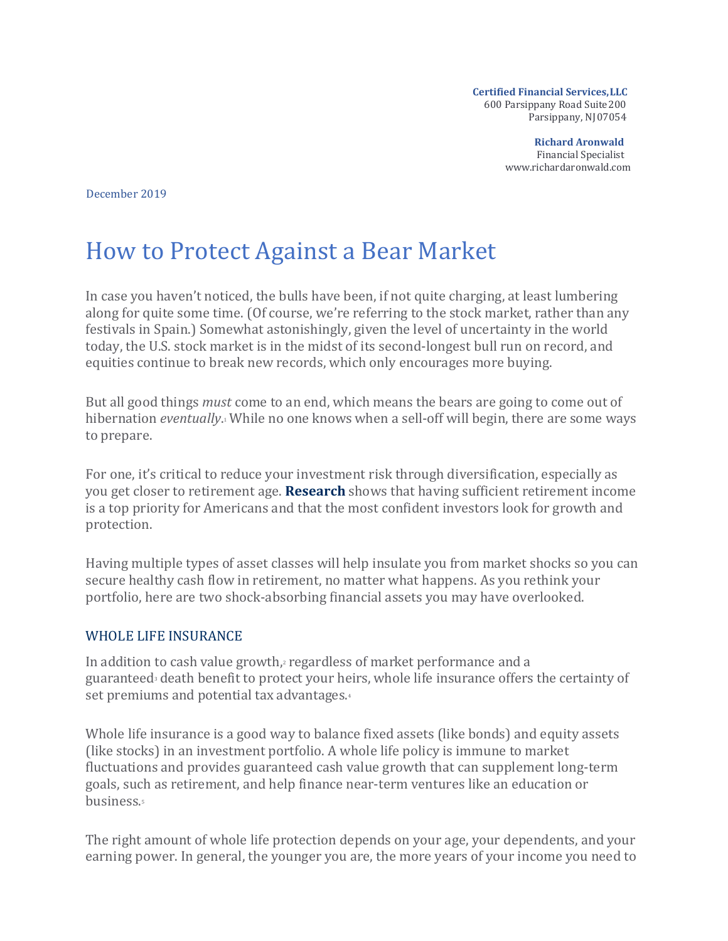**Certified Financial Services,LLC** 600 Parsippany Road Suite200 Parsippany, NJ07054

> **Richard Aronwald** Financial Specialist [www.richardaronwald.com](http://www.richardaronwald.com/)

December 2019

## How to Protect Against a Bear Market

In case you haven't noticed, the bulls have been, if not quite charging, at least lumbering along for quite some time. (Of course, we're referring to the stock market, rather than any festivals in Spain.) Somewhat astonishingly, given the level of uncertainty in the world today, the U.S. stock market is in the midst of its second-longest bull run on record, and equities continue to break new records, which only encourages more buying.

But all good things *must* come to an end, which means the bears are going to come out of hibernation *eventually*.1 While no one knows when a sell-off will begin, there are some ways to prepare.

For one, it's critical to reduce your investment risk through diversification, especially as you get closer to retirement age. **[Research](https://www.livingconfidently.com/research/)** shows that having sufficient retirement income is a top priority for Americans and that the most confident investors look for growth and protection.

Having multiple types of asset classes will help insulate you from market shocks so you can secure healthy cash flow in retirement, no matter what happens. As you rethink your portfolio, here are two shock-absorbing financial assets you may have overlooked.

## WHOLE LIFE INSURANCE

In addition to cash value growth, $\alpha$  regardless of market performance and a guaranteed<sup>3</sup> death benefit to protect your heirs, whole life insurance offers the certainty of set premiums and potential tax advantages.4

Whole life insurance is a good way to balance fixed assets (like bonds) and equity assets (like stocks) in an investment portfolio. A whole life policy is immune to market fluctuations and provides guaranteed cash value growth that can supplement long-term goals, such as retirement, and help finance near-term ventures like an education or business.5

The right amount of whole life protection depends on your age, your dependents, and your earning power. In general, the younger you are, the more years of your income you need to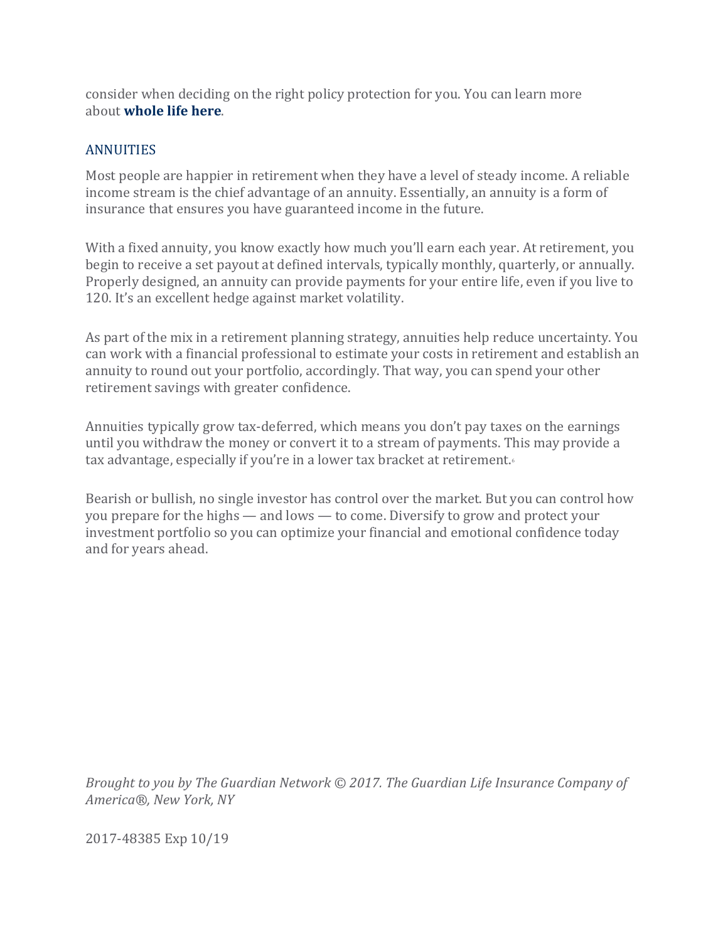consider when deciding on the right policy protection for you. You can learn more about **[whole life here](https://www.livingconfidently.com/protect-your-priorities/)**.

## **ANNUITIES**

Most people are happier in retirement when they have a level of steady income. A reliable income stream is the chief advantage of an annuity. Essentially, an annuity is a form of insurance that ensures you have guaranteed income in the future.

With a fixed annuity, you know exactly how much you'll earn each year. At retirement, you begin to receive a set payout at defined intervals, typically monthly, quarterly, or annually. Properly designed, an annuity can provide payments for your entire life, even if you live to 120. It's an excellent hedge against market volatility.

As part of the mix in a retirement planning strategy, annuities help reduce uncertainty. You can work with a financial professional to estimate your costs in retirement and establish an annuity to round out your portfolio, accordingly. That way, you can spend your other retirement savings with greater confidence.

Annuities typically grow tax-deferred, which means you don't pay taxes on the earnings until you withdraw the money or convert it to a stream of payments. This may provide a tax advantage, especially if you're in a lower tax bracket at retirement.6

Bearish or bullish, no single investor has control over the market. But you can control how you prepare for the highs — and lows — to come. Diversify to grow and protect your investment portfolio so you can optimize your financial and emotional confidence today and for years ahead.

*Brought to you by The Guardian Network © 2017. The Guardian Life Insurance Company of America®, New York, NY*

2017-48385 Exp 10/19